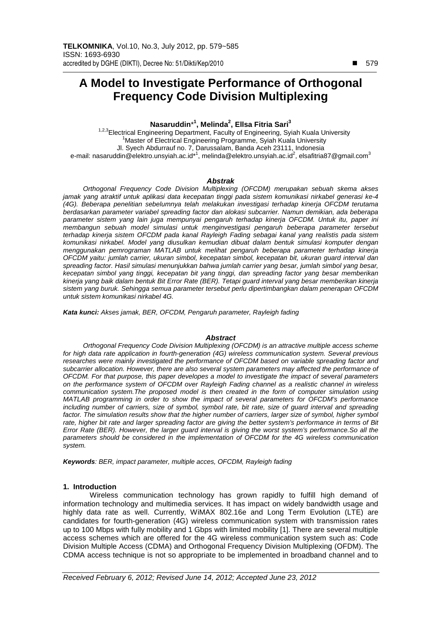# **A Model to Investigate Performance of Orthogonal Frequency Code Division Multiplexing**

## **Nasaruddin**\* **1 , Melinda<sup>2</sup> , Ellsa Fitria Sari<sup>3</sup>**

<sup>1,2,3</sup>Electrical Engineering Department, Faculty of Engineering, Syiah Kuala University <sup>1</sup>Master of Electrical Engineering Programme, Syiah Kuala University Jl. Syech Abdurrauf no. 7, Darussalam, Banda Aceh 23111, Indonesia e-mail: nasaruddin@elektro.unsyiah.ac.id\*<sup>1</sup>, melinda@elektro.unsyiah.ac.id<sup>2</sup>, elsafitria87@gmail.com<sup>3</sup>

#### **Abstrak**

Orthogonal Frequency Code Division Multiplexing (OFCDM) merupakan sebuah skema akses jamak yang atraktif untuk aplikasi data kecepatan tinggi pada sistem komunikasi nirkabel generasi ke-4 (4G). Beberapa penelitian sebelumnya telah melakukan investigasi terhadap kinerja OFCDM terutama berdasarkan parameter variabel spreading factor dan alokasi subcarrier. Namun demikian, ada beberapa parameter sistem yang lain juga mempunyai pengaruh terhadap kinerja OFCDM. Untuk itu, paper ini membangun sebuah model simulasi untuk menginvestigasi pengaruh beberapa parameter tersebut terhadap kinerja sistem OFCDM pada kanal Rayleigh Fading sebagai kanal yang realistis pada sistem komunikasi nirkabel. Model yang diusulkan kemudian dibuat dalam bentuk simulasi komputer dengan menggunakan pemrograman MATLAB untuk melihat pengaruh beberapa parameter terhadap kinerja OFCDM yaitu: jumlah carrier, ukuran simbol, kecepatan simbol, kecepatan bit, ukuran guard interval dan spreading factor. Hasil simulasi menunjukkan bahwa jumlah carrier yang besar, jumlah simbol yang besar, kecepatan simbol yang tinggi, kecepatan bit yang tinggi, dan spreading factor yang besar memberikan kinerja yang baik dalam bentuk Bit Error Rate (BER). Tetapi guard interval yang besar memberikan kinerja sistem yang buruk. Sehingga semua parameter tersebut perlu dipertimbangkan dalam penerapan OFCDM untuk sistem komunikasi nirkabel 4G.

**Kata kunci:** Akses jamak, BER, OFCDM, Pengaruh parameter, Rayleigh fading

#### **Abstract**

Orthogonal Frequency Code Division Multiplexing (OFCDM) is an attractive multiple access scheme for high data rate application in fourth-generation (4G) wireless communication system. Several previous researches were mainly investigated the performance of OFCDM based on variable spreading factor and subcarrier allocation. However, there are also several system parameters may affected the performance of OFCDM. For that purpose, this paper developes a model to investigate the impact of several parameters on the performance system of OFCDM over Rayleigh Fading channel as a realistic channel in wireless communication system.The proposed model is then created in the form of computer simulation using MATLAB programming in order to show the impact of several parameters for OFCDM's performance including number of carriers, size of symbol, symbol rate, bit rate, size of guard interval and spreading factor. The simulation results show that the higher number of carriers, larger size of symbol, higher symbol rate, higher bit rate and larger spreading factor are giving the better system's performance in terms of Bit Error Rate (BER). However, the larger guard interval is giving the worst system's performance.So all the parameters should be considered in the implementation of OFCDM for the 4G wireless communication system.

**Keywords**: BER, impact parameter, multiple acces, OFCDM, Rayleigh fading

#### **1. Introduction**

Wireless communication technology has grown rapidly to fulfill high demand of information technology and multimedia services. It has impact on widely bandwidth usage and highly data rate as well. Currently, WiMAX 802.16e and Long Term Evolution (LTE) are candidates for fourth-generation (4G) wireless communication system with transmission rates up to 100 Mbps with fully mobility and 1 Gbps with limited mobility [1]. There are several multiple access schemes which are offered for the 4G wireless communication system such as: Code Division Multiple Access (CDMA) and Orthogonal Frequency Division Multiplexing (OFDM). The CDMA access technique is not so appropriate to be implemented in broadband channel and to

-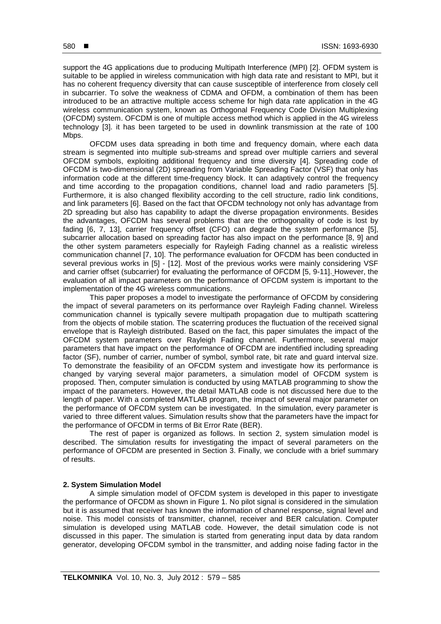support the 4G applications due to producing Multipath Interference (MPI) [2]. OFDM system is suitable to be applied in wireless communication with high data rate and resistant to MPI, but it has no coherent frequency diversity that can cause susceptible of interference from closely cell in subcarrier. To solve the weakness of CDMA and OFDM, a combination of them has been introduced to be an attractive multiple access scheme for high data rate application in the 4G wireless communication system, known as Orthogonal Frequency Code Division Multiplexing (OFCDM) system. OFCDM is one of multiple access method which is applied in the 4G wireless technology [3]. it has been targeted to be used in downlink transmission at the rate of 100 Mbps.

OFCDM uses data spreading in both time and frequency domain, where each data stream is segmented into multiple sub-streams and spread over multiple carriers and several OFCDM symbols, exploiting additional frequency and time diversity [4]. Spreading code of OFCDM is two-dimensional (2D) spreading from Variable Spreading Factor (VSF) that only has information code at the different time-frequency block. It can adaptively control the frequency and time according to the propagation conditions, channel load and radio parameters [5]. Furthermore, it is also changed flexibility according to the cell structure, radio link conditions, and link parameters [6]. Based on the fact that OFCDM technology not only has advantage from 2D spreading but also has capability to adapt the diverse propagation environments. Besides the advantages, OFCDM has several problems that are the orthogonality of code is lost by fading  $[6, 7, 13]$ , carrier frequency offset (CFO) can degrade the system performance  $[5]$ , subcarrier allocation based on spreading factor has also impact on the performance [8, 9] and the other system parameters especially for Rayleigh Fading channel as a realistic wireless communication channel [7, 10]. The performance evaluation for OFCDM has been conducted in several previous works in [5] - [12]. Most of the previous works were mainly considering VSF and carrier offset (subcarrier) for evaluating the performance of OFCDM [5, 9-11]. However, the evaluation of all impact parameters on the performance of OFCDM system is important to the implementation of the 4G wireless communications.

This paper proposes a model to investigate the performance of OFCDM by considering the impact of several parameters on its performance over Rayleigh Fading channel. Wireless communication channel is typically severe multipath propagation due to multipath scattering from the objects of mobile station. The scaterring produces the fluctuation of the received signal envelope that is Rayleigh distributed. Based on the fact, this paper simulates the impact of the OFCDM system parameters over Rayleigh Fading channel. Furthermore, several major parameters that have impact on the performance of OFCDM are indentified including spreading factor (SF), number of carrier, number of symbol, symbol rate, bit rate and guard interval size. To demonstrate the feasibility of an OFCDM system and investigate how its performance is changed by varying several major parameters, a simulation model of OFCDM system is proposed. Then, computer simulation is conducted by using MATLAB programming to show the impact of the parameters. However, the detail MATLAB code is not discussed here due to the length of paper. With a completed MATLAB program, the impact of several major parameter on the performance of OFCDM system can be investigated. In the simulation, every parameter is varied to three different values. Simulation results show that the parameters have the impact for the performance of OFCDM in terms of Bit Error Rate (BER).

 The rest of paper is organized as follows. In section 2, system simulation model is described. The simulation results for investigating the impact of several parameters on the performance of OFCDM are presented in Section 3. Finally, we conclude with a brief summary of results.

#### **2. System Simulation Model**

A simple simulation model of OFCDM system is developed in this paper to investigate the performance of OFCDM as shown in Figure 1. No pilot signal is considered in the simulation but it is assumed that receiver has known the information of channel response, signal level and noise. This model consists of transmitter, channel, receiver and BER calculation. Computer simulation is developed using MATLAB code. However, the detail simulation code is not discussed in this paper. The simulation is started from generating input data by data random generator, developing OFCDM symbol in the transmitter, and adding noise fading factor in the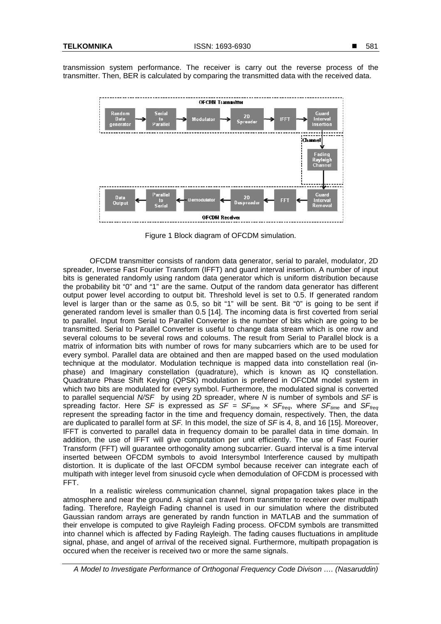transmission system performance. The receiver is carry out the reverse process of the transmitter. Then, BER is calculated by comparing the transmitted data with the received data.



Figure Figure 1 Block diagram of OFCDM simulation.

OFCDM transmitter consists of random data generator, serial to paralel, modulator, 2D spreader, Inverse Fast Fourier Transform (IFFT) and guard interval insertion. A number of input bits is generated randomly using random data generator which is uniform distribution because the probability bit "0" and "1" are the same. Output of the random data generator has different output power level according to output bit. Threshold level is set to 0.5. If generated random output power level according to output bit. Threshold level is set to 0.5. If generated random<br>level is larger than or the same as 0.5, so bit "1" will be sent. Bit "0" is going to be sent if generated random level is smaller than 0.5 [14]. The incoming data is first coverted from ser serial to parallel. Input from Serial to Parallel Converter is the number of bits which are going to be transmitted. Serial to Parallel Converter is useful to change data stream which is one row and several coloums to be several rows and coloums. The result from Serial to Parallel block is a matrix of information bits with number of rows for many subcarriers which are to be used for every symbol. Parallel data are obtained and then are mapped based on the used modulation technique at the modulator. Modulation technique is mapped data into constellation real (inphase) and Imaginary constellation (quadrature), which is known as IQ constellation. Quadrature Phase Shift Keying (QPSK) modulation is prefered in OFCDM model system in which two bits are modulated for every symbol. Furthermore, the modulated signal is converted to parallel sequencial N/SF by using 2D spreader, where N is number of symbols and SF is spreading factor. Here SF is expressed as SF =  $SF_{time}$  x  $SF_{freq}$ , where  $SF_{time}$  and  $SF_{freq}$ represent the spreading factor in the time and frequency domain, respectively. Then, the data are duplicated to parallel form at  $SF$ . In this model, the size of  $SF$  is 4, 8, and 16 [15]. Moreover, IFFT is converted to parallel data in frequency domain to be parallel data in time domain. In addition, the use of IFFT will give computation per unit efficiently. The use of Fast Fourier Transform (FFT) will guarantee orthogonality among subcarrier. Guard interval is uard a time interval inserted between OFCDM symbols to avoid Intersymbol Interference caused by multipath distortion. It is duplicate of the last OFCDM symbol because receiver can integrate each of multipath with integer level from sinusoid cycle when demodulation of OFCDM is processed with FFT.

In a realistic wireless communication channel, signal propagation takes place in the atmosphere and near the ground. A signal can travel from transmitter to receiver over multipath fading. Therefore, Rayleigh Fading channel is used in our simulation where the distributed Gaussian random arrays are generated by randn function in MATLAB and the summation of their envelope is computed to give Rayleigh Fading process process. OFCDM symbols are transmitted into channel which is affected by Fading Rayleigh. The fading causes fluctuations in amplitude signal, phase, and angel of arrival of the received signal. Furthermore, multipath propagation is signal, phase, and angel of arrival of the received signal. Furthermor<br>occured when the receiver is received two or more the same signals.

A Model to Investigate Performance of Orthogonal Frequency Code Divison …. (Nasaruddin)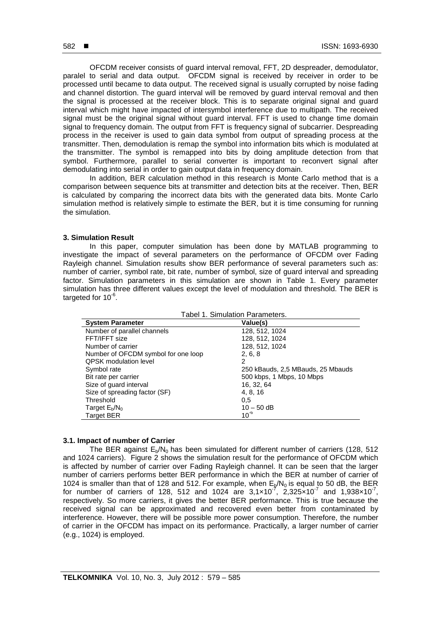OFCDM receiver consists of guard interval removal, FFT, 2D despreader, demodulator, paralel to serial and data output. OFCDM signal is received by receiver in order to be processed until became to data output. The received signal is usually corrupted by noise fading and channel distortion. The guard interval will be removed by guard interval removal and then the signal is processed at the receiver block. This is to separate original signal and guard interval which might have impacted of intersymbol interference due to multipath. The received signal must be the original signal without guard interval. FFT is used to change time domain signal to frequency domain. The output from FFT is frequency signal of subcarrier. Despreading process in the receiver is used to gain data symbol from output of spreading process at the transmitter. Then, demodulation is remap the symbol into information bits which is modulated at the transmitter. The symbol is remapped into bits by doing amplitude detection from that symbol. Furthermore, parallel to serial converter is important to reconvert signal after demodulating into serial in order to gain output data in frequency domain.

In addition, BER calculation method in this research is Monte Carlo method that is a comparison between sequence bits at transmitter and detection bits at the receiver. Then, BER is calculated by comparing the incorrect data bits with the generated data bits. Monte Carlo simulation method is relatively simple to estimate the BER, but it is time consuming for running the simulation.

#### **3. Simulation Result**

In this paper, computer simulation has been done by MATLAB programming to investigate the impact of several parameters on the performance of OFCDM over Fading Rayleigh channel. Simulation results show BER performance of several parameters such as: number of carrier, symbol rate, bit rate, number of symbol, size of guard interval and spreading factor. Simulation parameters in this simulation are shown in Table 1. Every parameter simulation has three different values except the level of modulation and threshold. The BER is targeted for  $10^{-6}$ .

| Tabel 1. Simulation Parameters.     |                                   |
|-------------------------------------|-----------------------------------|
| <b>System Parameter</b>             | Value(s)                          |
| Number of parallel channels         | 128, 512, 1024                    |
| FFT/IFFT size                       | 128, 512, 1024                    |
| Number of carrier                   | 128, 512, 1024                    |
| Number of OFCDM symbol for one loop | 2, 6, 8                           |
| <b>QPSK</b> modulation level        | 2                                 |
| Symbol rate                         | 250 kBauds, 2,5 MBauds, 25 Mbauds |
| Bit rate per carrier                | 500 kbps, 1 Mbps, 10 Mbps         |
| Size of guard interval              | 16, 32, 64                        |
| Size of spreading factor (SF)       | 4, 8, 16                          |
| Threshold                           | 0,5                               |
| Target $E_b/N_0$                    | $10 - 50$ dB                      |
| <b>Target BER</b>                   | $10^{-6}$                         |

### **3.1. Impact of number of Carrier**

The BER against  $E_p/N_0$  has been simulated for different number of carriers (128, 512 and 1024 carriers). Figure 2 shows the simulation result for the performance of OFCDM which is affected by number of carrier over Fading Rayleigh channel. It can be seen that the larger number of carriers performs better BER performance in which the BER at number of carrier of 1024 is smaller than that of 128 and 512. For example, when  $E_b/N_0$  is equal to 50 dB, the BER for number of carriers of 128, 512 and 1024 are  $3,1\times10^{7}$ , 2,325 $\times10^{7}$  and 1,938 $\times10^{7}$ , respectively. So more carriers, it gives the better BER performance. This is true because the received signal can be approximated and recovered even better from contaminated by interference. However, there will be possible more power consumption. Therefore, the number of carrier in the OFCDM has impact on its performance. Practically, a larger number of carrier (e.g., 1024) is employed.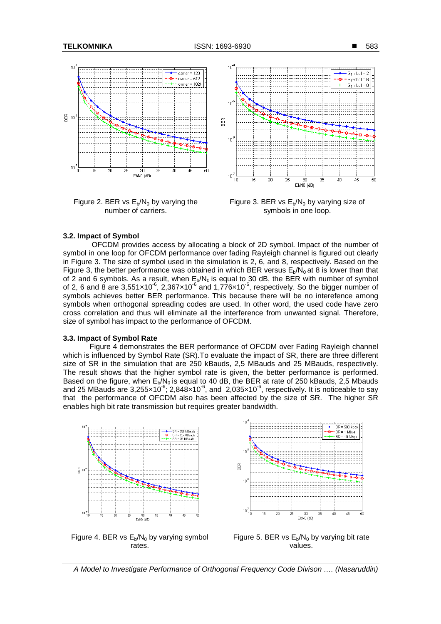

Figure 2. BER vs  $E_b/N_0$  by varying the number of carriers.



Figure 3. BER vs  $E_b/N_0$  by varying size of symbols in one loop.

#### **3.2. Impact of Symbol**

 OFCDM provides access by allocating a block of 2D symbol. Impact of the number of symbol in one loop for OFCDM performance over fading Rayleigh channel is figured out clearly in Figure 3. The size of symbol used in the simulation is 2, 6, and 8, respectively. Based on the Figure 3, the better performance was obtained in which BER versus  $E_p/N_0$  at 8 is lower than that of 2 and 6 symbols. As a result, when  $E<sub>b</sub>/N<sub>0</sub>$  is equal to 30 dB, the BER with number of symbol of 2, 6 and 8 are  $3,551\times10^{-6}$ ,  $2,367\times10^{-6}$  and  $1,776\times10^{-6}$ , respectively. So the bigger number of symbols achieves better BER performance. This because there will be no interefence among symbols when orthogonal spreading codes are used. In other word, the used code have zero cross correlation and thus will eliminate all the interference from unwanted signal. Therefore, size of symbol has impact to the performance of OFCDM.

#### **3.3. Impact of Symbol Rate**

Figure 4 demonstrates the BER performance of OFCDM over Fading Rayleigh channel which is influenced by Symbol Rate (SR). To evaluate the impact of SR, there are three different size of SR in the simulation that are 250 kBauds, 2,5 MBauds and 25 MBauds, respectively. The result shows that the higher symbol rate is given, the better performance is performed. Based on the figure, when  $E<sub>b</sub>/N<sub>0</sub>$  is equal to 40 dB, the BER at rate of 250 kBauds, 2,5 Mbauds and 25 MBauds are 3,255 $\times$ 10<sup>-6</sup>; 2,848 $\times$ 10<sup>-6</sup>, and 2,035 $\times$ 10<sup>-6</sup>, respectively. It is noticeable to say that the performance of OFCDM also has been affected by the size of SR. The higher SR enables high bit rate transmission but requires greater bandwidth.



Figure 4. BER vs  $E_b/N_0$  by varying symbol rates.



Figure 5. BER vs  $E_b/N_0$  by varying bit rate values.

A Model to Investigate Performance of Orthogonal Frequency Code Divison …. (Nasaruddin)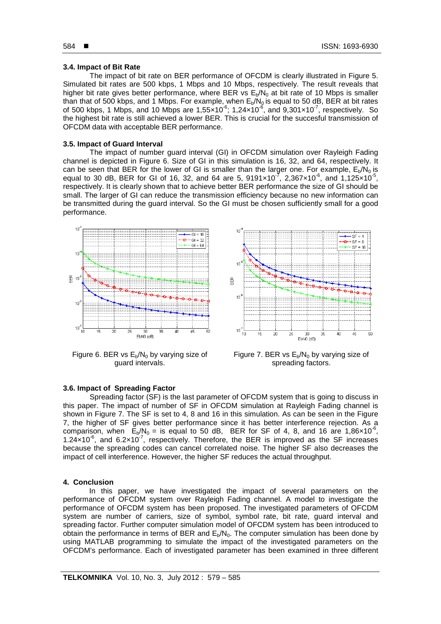#### **3.4. Impact of Bit Rate**

The impact of bit rate on BER performance of OFCDM is clearly illustrated in Figure 5. Simulated bit rates are 500 kbps, 1 Mbps and 10 Mbps, respectively. The result reveals that higher bit rate gives better performance, where BER vs  $E_b/N_0$  at bit rate of 10 Mbps is smaller than that of 500 kbps, and 1 Mbps. For example, when  $E_b/N_0$  is equal to 50 dB, BER at bit rates of 500 kbps, 1 Mbps, and 10 Mbps are 1,55 $\times$ 10<sup>-6</sup>; 1,24 $\times$ 10<sup>-6</sup>, and 9,301 $\times$ 10<sup>-7</sup>, respectively. So the highest bit rate is still achieved a lower BER. This is crucial for the succesful transmission of OFCDM data with acceptable BER performance.

### **3.5. Impact of Guard Interval**

The impact of number guard interval (GI) in OFCDM simulation over Rayleigh Fading channel is depicted in Figure 6. Size of GI in this simulation is 16, 32, and 64, respectively. It can be seen that BER for the lower of GI is smaller than the larger one. For example,  $E<sub>b</sub>/N<sub>0</sub>$  is equal to 30 dB, BER for GI of 16, 32, and 64 are 5, 9191×10<sup>-7</sup>, 2,367×10<sup>-6</sup>, and 1,125×10<sup>-5</sup>, respectively. It is clearly shown that to achieve better BER performance the size of GI should be small. The larger of GI can reduce the transmission efficiency because no new information can be transmitted during the guard interval. So the GI must be chosen sufficiently small for a good performance.



Figure 6. BER vs  $E_b/N_0$  by varying size of guard intervals.



Figure 7. BER vs  $E_b/N_0$  by varying size of spreading factors.

### **3.6. Impact of Spreading Factor**

 Spreading factor (SF) is the last parameter of OFCDM system that is going to discuss in this paper. The impact of number of SF in OFCDM simulation at Rayleigh Fading channel is shown in Figure 7. The SF is set to 4, 8 and 16 in this simulation. As can be seen in the Figure 7, the higher of SF gives better performance since it has better interference rejection. As a comparison, when  $\vec{E}_b/N_0 =$  is equal to 50 dB, BER for SF of 4, 8, and 16 are 1,86×10<sup>-6</sup>, 1.24 $\times$ 10<sup>-6</sup>, and 6.2 $\times$ 10<sup>- $\prime$ </sup>, respectively. Therefore, the BER is improved as the SF increases because the spreading codes can cancel correlated noise. The higher SF also decreases the impact of cell interference. However, the higher SF reduces the actual throughput.

### **4. Conclusion**

In this paper, we have investigated the impact of several parameters on the performance of OFCDM system over Rayleigh Fading channel. A model to investigate the performance of OFCDM system has been proposed. The investigated parameters of OFCDM system are number of carriers, size of symbol, symbol rate, bit rate, guard interval and spreading factor. Further computer simulation model of OFCDM system has been introduced to obtain the performance in terms of BER and  $E_b/N_0$ . The computer simulation has been done by using MATLAB programming to simulate the impact of the investigated parameters on the OFCDM's performance. Each of investigated parameter has been examined in three different